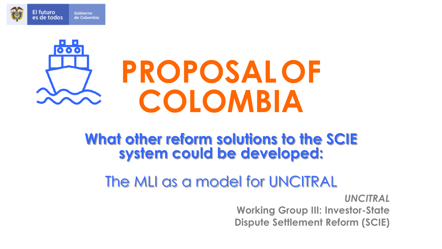



## **What other reform solutions to the SCIE system could be developed:**

# The MLI as a model for UNCITRAL

*UNCITRAL* **Working Group III: Investor-State Dispute Settlement Reform (SCIE)**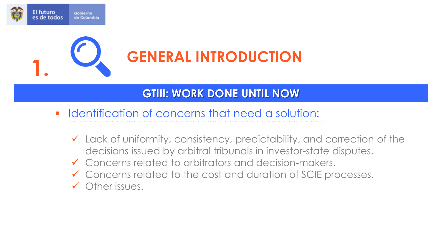



## **GTIII: WORK DONE UNTIL NOW**

- Identification of concerns that need a solution:
	- $\checkmark$  Lack of uniformity, consistency, predictability, and correction of the decisions issued by arbitral tribunals in investor-state disputes.
	- ✓ Concerns related to arbitrators and decision-makers.
	- ✓ Concerns related to the cost and duration of SCIE processes.
	- ✓ Other issues.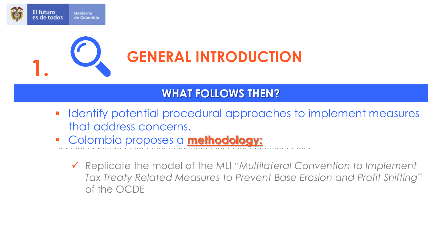



### **WHAT FOLLOWS THEN?**

- Identify potential procedural approaches to implement measures that address concerns.
- Colombia proposes a **methodology:**
	- ✓ Replicate the model of the MLI *"Multilateral Convention to Implement Tax Treaty Related Measures to Prevent Base Erosion and Profit Shifting"* of the OCDE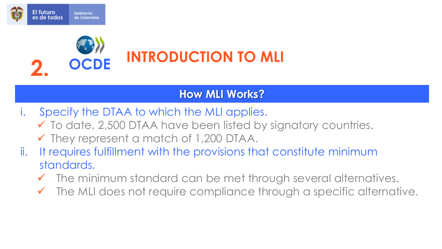



### **How MLI Works?**

- i. Specify the DTAA to which the MLI applies.
	- $\checkmark$  To date, 2,500 DTAA have been listed by signatory countries.
	- $\checkmark$  They represent a match of 1,200 DTAA.
- ii. It requires fulfillment with the provisions that constitute minimum standards.
	- $\checkmark$  The minimum standard can be met through several alternatives.
	- $\checkmark$  The MLI does not require compliance through a specific alternative.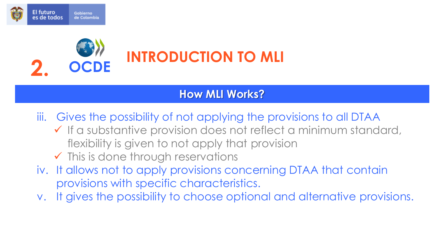



### **How MLI Works?**

iii. Gives the possibility of not applying the provisions to all DTAA

- ✓ If a substantive provision does not reflect a minimum standard, flexibility is given to not apply that provision
- $\checkmark$  This is done through reservations
- iv. It allows not to apply provisions concerning DTAA that contain provisions with specific characteristics.
- v. It gives the possibility to choose optional and alternative provisions.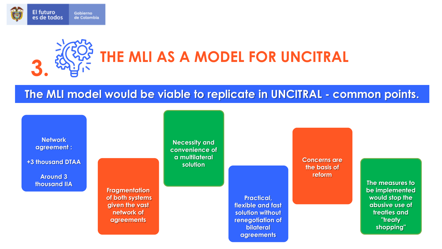

# **THE MLI AS A MODEL FOR UNCITRAL 3.**

#### **The MLI model would be viable to replicate in UNCITRAL - common points.**



**+3 thousand DTAA**

**Around 3 thousand IIA**

**Necessity and convenience of a multilateral solution**

**Fragmentation of both systems given the vast network of agreements**

**Practical, flexible and fast solution without renegotiation of bilateral agreements**

**Concerns are the basis of reform**

> **The measures to be implemented would stop the abusive use of treaties and "treaty shopping"**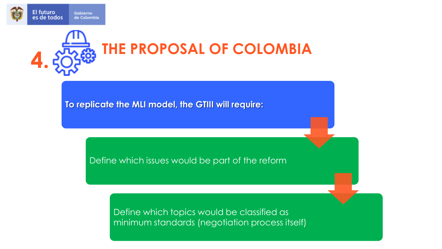



**To replicate the MLI model, the GTIII will require:**

Define which issues would be part of the reform

Define which topics would be classified as minimum standards (negotiation process itself)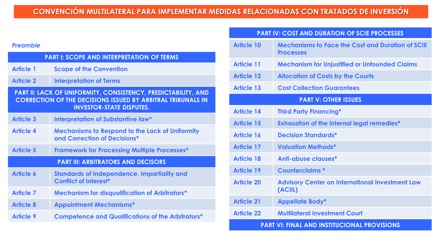#### *Preamble*

| <b>PART I: SCOPE AND INTERPRETATION OF TERMS</b>                                                                                                                              |                                                                                        |  |
|-------------------------------------------------------------------------------------------------------------------------------------------------------------------------------|----------------------------------------------------------------------------------------|--|
| <b>Article 1</b>                                                                                                                                                              | <b>Scope of the Convention</b>                                                         |  |
| <b>Article 2</b>                                                                                                                                                              | <b>Interpretation of Terms</b>                                                         |  |
| <b>PART II: LACK OF UNIFORMITY, CONSISTENCY, PREDICTABILITY, AND</b><br><b>CORRECTION OF THE DECISIONS ISSUED BY ARBITRAL TRIBUNALS IN</b><br><b>INVESTOR-STATE DISPUTES.</b> |                                                                                        |  |
| <b>Article 3</b>                                                                                                                                                              | Interpretation of Substantive law*                                                     |  |
| Article 4                                                                                                                                                                     | <b>Mechanisms to Respond to the Lack of Uniformity</b><br>and Correction of Decisions* |  |
| <b>Article 5</b>                                                                                                                                                              | <b>Framework for Processing Multiple Processes*</b>                                    |  |
| <b>PART III: ARBITRATORS AND DECISORS</b>                                                                                                                                     |                                                                                        |  |
| <b>Article 6</b>                                                                                                                                                              | <b>Standards of Independence, Impartiality and</b><br><b>Conflict of Interest*</b>     |  |
| <b>Article 7</b>                                                                                                                                                              | <b>Mechanism for disqualification of Arbitrators*</b>                                  |  |
| <b>Article 8</b>                                                                                                                                                              | <b>Appointment Mechanisms*</b>                                                         |  |
| <b>Article 9</b>                                                                                                                                                              | <b>Competence and Qualifications of the Arbitrators*</b>                               |  |

#### **PART IV: COST AND DURATION OF SCIE PROCESSES**

| <b>Article 10</b>                                  | <b>Mechanisms to Face the Cost and Duration of SCIE</b><br><b>Processes</b> |  |
|----------------------------------------------------|-----------------------------------------------------------------------------|--|
| <b>Article 11</b>                                  | <b>Mechanism for Unjustified or Unfounded Claims</b>                        |  |
| <b>Article 12</b>                                  | <b>Allocation of Costs by the Courts</b>                                    |  |
| <b>Article 13</b>                                  | <b>Cost Collection Guarantees</b>                                           |  |
| <b>PART V: OTHER ISSUES</b>                        |                                                                             |  |
| <b>Article 14</b>                                  | <b>Third Party Financing*</b>                                               |  |
| <b>Article 15</b>                                  | <b>Exhaustion of the internal legal remedies*</b>                           |  |
| Article 16                                         | <b>Decision Standards*</b>                                                  |  |
| <b>Article 17</b>                                  | <b>Valuation Methods*</b>                                                   |  |
| <b>Article 18</b>                                  | Anti-abuse clauses*                                                         |  |
| <b>Article 19</b>                                  | Counterclaims *                                                             |  |
| <b>Article 20</b>                                  | <b>Advisory Center on International Investment Law</b><br>(ACIIL)           |  |
| <b>Article 21</b>                                  | <b>Appellate Body*</b>                                                      |  |
| <b>Article 22</b>                                  | <b>Multilateral Investment Court</b>                                        |  |
| <b>PART VI: FINAL AND INSTITUCIONAL PROVISIONS</b> |                                                                             |  |